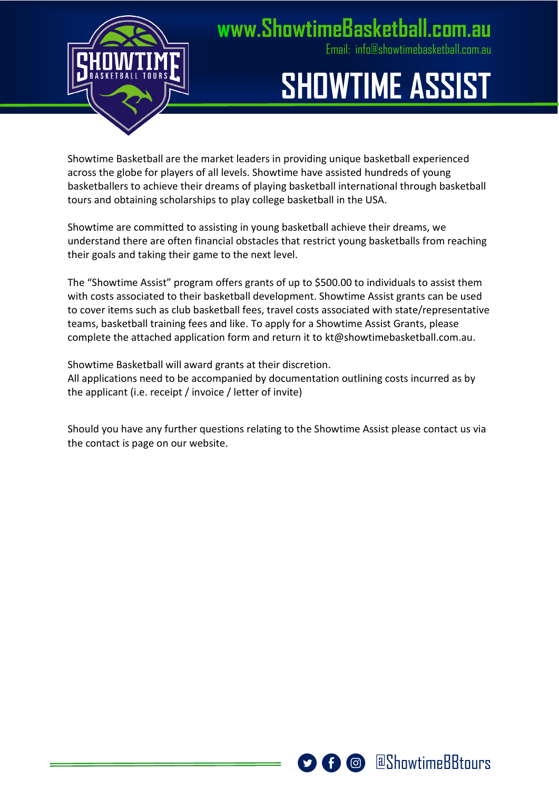

#### **[www.ShowtimeBasketball.com.au](http://www.ShowtimeBasketball.com.au)**

[Email: info@showtimebasketball.com.au](mailto:info@showtimebasketball.com.au)

## **SHOWTIME ASSIST**

Showtime Basketball are the market leaders in providing unique basketball experienced across the globe for players of all levels. Showtime have assisted hundreds of young basketballers to achieve their dreams of playing basketball international through basketball tours and obtaining scholarships to play college basketball in the USA.

Showtime are committed to assisting in young basketball achieve their dreams, we understand there are often financial obstacles that restrict young basketballs from reaching their goals and taking their game to the next level.

The "Showtime Assist" program offers grants of up to \$500.00 to individuals to assist them with costs associated to their basketball development. Showtime Assist grants can be used to cover items such as club basketball fees, travel costs associated with state/representative teams, basketball training fees and like. To apply for a Showtime Assist Grants, please complete the attached application form and return it to [kt@showtimebasketball.com.au.](mailto:kt@showtimebasketball.com.au)

Showtime Basketball will award grants at their discretion. All applications need to be accompanied by documentation outlining costs incurred as by the applicant (i.e. receipt / invoice / letter of invite)

Should you have any further questions relating to the Showtime Assist please contact us via the contact is page on our website.